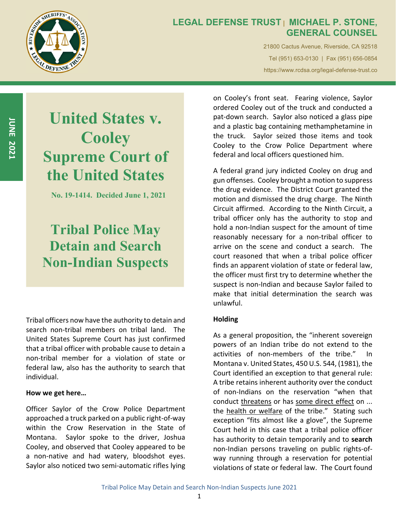

### **LEGAL DEFENSE TRUST | MICHAEL P. STONE, GENERAL COUNSEL**

21800 Cactus Avenue, Riverside, CA 92518 Tel (951) 653-0130 | Fax (951) 656-0854 https://www.rcdsa.org/legal-defense-trust.co

**JUNE 2021**

# **United States v. Cooley Supreme Court of the United States**

**No. 19-1414. Decided June 1, 2021** 

# **Tribal Police May Detain and Search Non-Indian Suspects**

Tribal officers now have the authority to detain and search non-tribal members on tribal land. The United States Supreme Court has just confirmed that a tribal officer with probable cause to detain a non‐tribal member for a violation of state or federal law, also has the authority to search that individual.

#### **How we get here…**

Officer Saylor of the Crow Police Department approached a truck parked on a public right‐of‐way within the Crow Reservation in the State of Montana. Saylor spoke to the driver, Joshua Cooley, and observed that Cooley appeared to be a non‐native and had watery, bloodshot eyes. Saylor also noticed two semi‐automatic rifles lying on Cooley's front seat. Fearing violence, Saylor ordered Cooley out of the truck and conducted a pat‐down search. Saylor also noticed a glass pipe and a plastic bag containing methamphetamine in the truck. Saylor seized those items and took Cooley to the Crow Police Department where federal and local officers questioned him.

A federal grand jury indicted Cooley on drug and gun offenses. Cooley brought a motion to suppress the drug evidence. The District Court granted the motion and dismissed the drug charge. The Ninth Circuit affirmed. According to the Ninth Circuit, a tribal officer only has the authority to stop and hold a non‐Indian suspect for the amount of time reasonably necessary for a non‐tribal officer to arrive on the scene and conduct a search. The court reasoned that when a tribal police officer finds an apparent violation of state or federal law, the officer must first try to determine whether the suspect is non‐Indian and because Saylor failed to make that initial determination the search was unlawful.

#### **Holding**

As a general proposition, the "inherent sovereign powers of an Indian tribe do not extend to the activities of non‐members of the tribe." In Montana v. United States, 450 U.S. 544, (1981), the Court identified an exception to that general rule: A tribe retains inherent authority over the conduct of non‐Indians on the reservation "when that conduct threatens or has some direct effect on ... the health or welfare of the tribe." Stating such exception "fits almost like a glove", the Supreme Court held in this case that a tribal police officer has authority to detain temporarily and to **search** non‐Indian persons traveling on public rights‐of‐ way running through a reservation for potential violations of state or federal law. The Court found